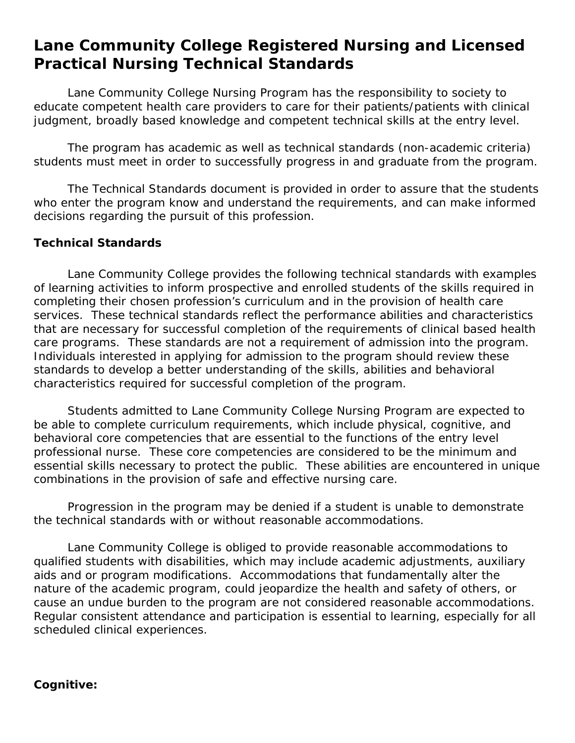# **Lane Community College Registered Nursing and Licensed Practical Nursing Technical Standards**

Lane Community College Nursing Program has the responsibility to society to educate competent health care providers to care for their patients/patients with clinical judgment, broadly based knowledge and competent technical skills at the entry level.

The program has academic as well as technical standards (non-academic criteria) students must meet in order to successfully progress in and graduate from the program.

The Technical Standards document is provided in order to assure that the students who enter the program know and understand the requirements, and can make informed decisions regarding the pursuit of this profession.

#### **Technical Standards**

Lane Community College provides the following technical standards with examples of learning activities to inform prospective and enrolled students of the skills required in completing their chosen profession's curriculum and in the provision of health care services. These technical standards reflect the performance abilities and characteristics that are necessary for successful completion of the requirements of clinical based health care programs. These standards are not a requirement of admission into the program. Individuals interested in applying for admission to the program should review these standards to develop a better understanding of the skills, abilities and behavioral characteristics required for successful completion of the program.

Students admitted to Lane Community College Nursing Program are expected to be able to complete curriculum requirements, which include physical, cognitive, and behavioral core competencies that are essential to the functions of the entry level professional nurse. These core competencies are considered to be the minimum and essential skills necessary to protect the public. These abilities are encountered in unique combinations in the provision of safe and effective nursing care.

Progression in the program may be denied if a student is unable to demonstrate the technical standards with or without reasonable accommodations.

Lane Community College is obliged to provide reasonable accommodations to qualified students with disabilities, which may include academic adjustments, auxiliary aids and or program modifications. Accommodations that fundamentally alter the nature of the academic program, could jeopardize the health and safety of others, or cause an undue burden to the program are not considered reasonable accommodations. Regular consistent attendance and participation is essential to learning, especially for all scheduled clinical experiences.

#### **Cognitive:**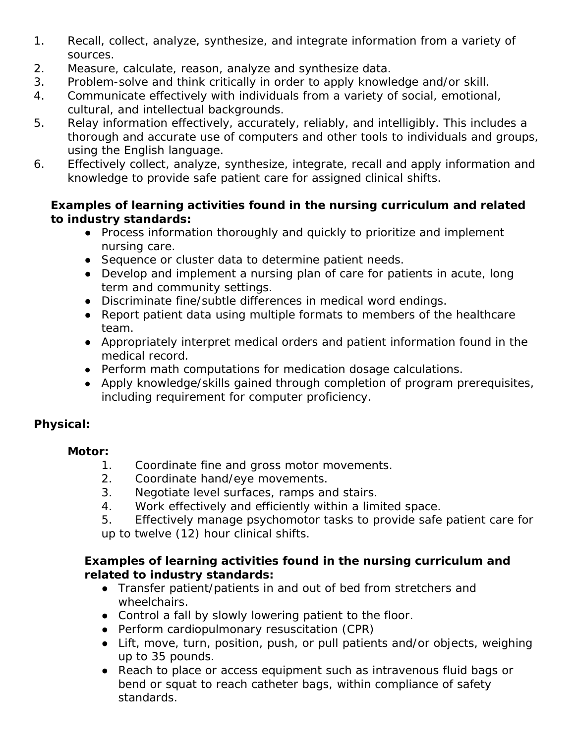- 1. Recall, collect, analyze, synthesize, and integrate information from a variety of sources.
- 2. Measure, calculate, reason, analyze and synthesize data.
- 3. Problem-solve and think critically in order to apply knowledge and/or skill.
- 4. Communicate effectively with individuals from a variety of social, emotional, cultural, and intellectual backgrounds.
- 5. Relay information effectively, accurately, reliably, and intelligibly. This includes a thorough and accurate use of computers and other tools to individuals and groups, using the English language.
- 6. Effectively collect, analyze, synthesize, integrate, recall and apply information and knowledge to provide safe patient care for assigned clinical shifts.

## *Examples of learning activities found in the nursing curriculum and related to industry standards:*

- Process information thoroughly and quickly to prioritize and implement nursing care.
- Sequence or cluster data to determine patient needs.
- Develop and implement a nursing plan of care for patients in acute, long term and community settings.
- Discriminate fine/subtle differences in medical word endings.
- Report patient data using multiple formats to members of the healthcare team.
- Appropriately interpret medical orders and patient information found in the medical record.
- Perform math computations for medication dosage calculations.
- Apply knowledge/skills gained through completion of program prerequisites, including requirement for computer proficiency.

# **Physical:**

### **Motor:**

- 1. Coordinate fine and gross motor movements.
- 2. Coordinate hand/eye movements.
- 3. Negotiate level surfaces, ramps and stairs.
- 4. Work effectively and efficiently within a limited space.
- 5. Effectively manage psychomotor tasks to provide safe patient care for up to twelve (12) hour clinical shifts.

### *Examples of learning activities found in the nursing curriculum and related to industry standards:*

- Transfer patient/patients in and out of bed from stretchers and wheelchairs.
- Control a fall by slowly lowering patient to the floor.
- Perform cardiopulmonary resuscitation (CPR)
- Lift, move, turn, position, push, or pull patients and/or objects, weighing up to 35 pounds.
- Reach to place or access equipment such as intravenous fluid bags or bend or squat to reach catheter bags, within compliance of safety standards.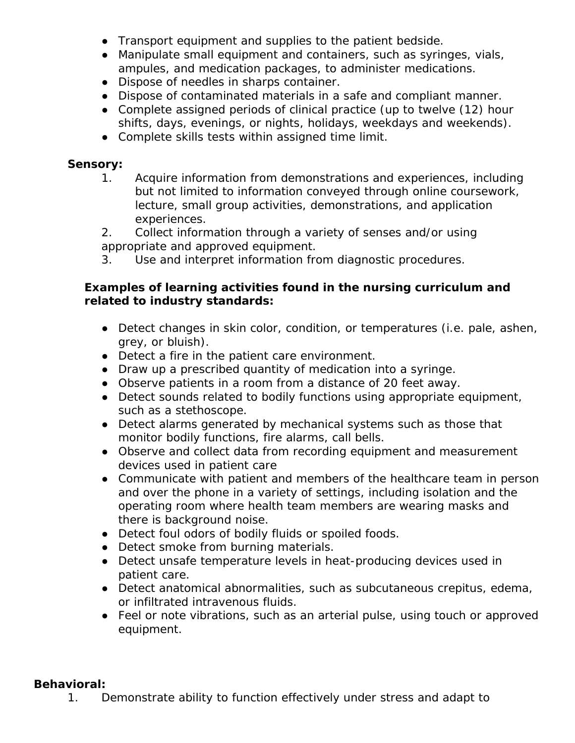- Transport equipment and supplies to the patient bedside.
- Manipulate small equipment and containers, such as syringes, vials, ampules, and medication packages, to administer medications.
- Dispose of needles in sharps container.
- Dispose of contaminated materials in a safe and compliant manner.
- Complete assigned periods of clinical practice (up to twelve (12) hour shifts, days, evenings, or nights, holidays, weekdays and weekends).
- Complete skills tests within assigned time limit.

#### **Sensory:**

- 1. Acquire information from demonstrations and experiences, including but not limited to information conveyed through online coursework, lecture, small group activities, demonstrations, and application experiences.
- 2. Collect information through a variety of senses and/or using appropriate and approved equipment.
- 3. Use and interpret information from diagnostic procedures.

#### *Examples of learning activities found in the nursing curriculum and related to industry standards:*

- Detect changes in skin color, condition, or temperatures (i.e. pale, ashen, grey, or bluish).
- Detect a fire in the patient care environment.
- Draw up a prescribed quantity of medication into a syringe.
- Observe patients in a room from a distance of 20 feet away.
- Detect sounds related to bodily functions using appropriate equipment, such as a stethoscope.
- Detect alarms generated by mechanical systems such as those that monitor bodily functions, fire alarms, call bells.
- Observe and collect data from recording equipment and measurement devices used in patient care
- Communicate with patient and members of the healthcare team in person and over the phone in a variety of settings, including isolation and the operating room where health team members are wearing masks and there is background noise.
- Detect foul odors of bodily fluids or spoiled foods.
- Detect smoke from burning materials.
- Detect unsafe temperature levels in heat-producing devices used in patient care.
- Detect anatomical abnormalities, such as subcutaneous crepitus, edema, or infiltrated intravenous fluids.
- Feel or note vibrations, such as an arterial pulse, using touch or approved equipment.

#### **Behavioral:**

1. Demonstrate ability to function effectively under stress and adapt to